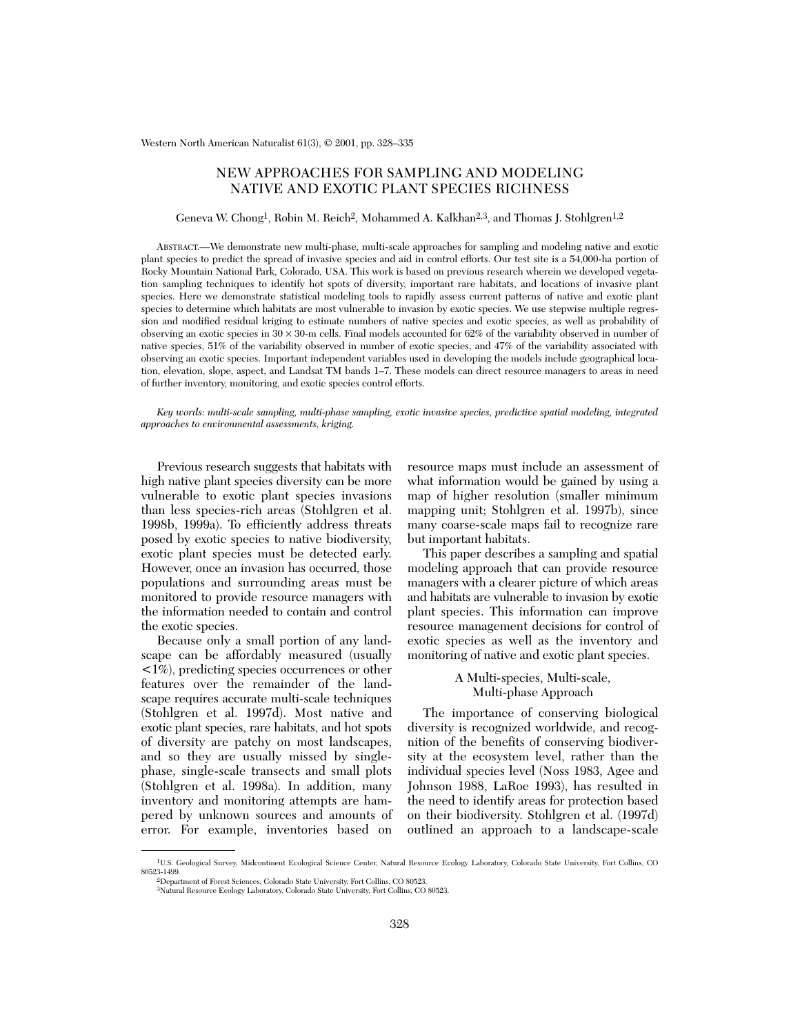Western North American Naturalist 61(3), © 2001, pp. 328–335

# NEW APPROACHES FOR SAMPLING AND MODELING NATIVE AND EXOTIC PLANT SPECIES RICHNESS

## Geneva W. Chong<sup>1</sup>, Robin M. Reich<sup>2</sup>, Mohammed A. Kalkhan<sup>2,3</sup>, and Thomas J. Stohlgren<sup>1,2</sup>

ABSTRACT.—We demonstrate new multi-phase, multi-scale approaches for sampling and modeling native and exotic plant species to predict the spread of invasive species and aid in control efforts. Our test site is a 54,000-ha portion of Rocky Mountain National Park, Colorado, USA. This work is based on previous research wherein we developed vegetation sampling techniques to identify hot spots of diversity, important rare habitats, and locations of invasive plant species. Here we demonstrate statistical modeling tools to rapidly assess current patterns of native and exotic plant species to determine which habitats are most vulnerable to invasion by exotic species. We use stepwise multiple regression and modified residual kriging to estimate numbers of native species and exotic species, as well as probability of observing an exotic species in  $30 \times 30$ -m cells. Final models accounted for  $62\%$  of the variability observed in number of native species, 51% of the variability observed in number of exotic species, and 47% of the variability associated with observing an exotic species. Important independent variables used in developing the models include geographical location, elevation, slope, aspect, and Landsat TM bands 1–7. These models can direct resource managers to areas in need of further inventory, monitoring, and exotic species control efforts.

*Key words: multi-scale sampling, multi-phase sampling, exotic invasive species, predictive spatial modeling, integrated approaches to environmental assessments, kriging.*

Previous research suggests that habitats with high native plant species diversity can be more vulnerable to exotic plant species invasions than less species-rich areas (Stohlgren et al. 1998b, 1999a). To efficiently address threats posed by exotic species to native biodiversity, exotic plant species must be detected early. However, once an invasion has occurred, those populations and surrounding areas must be monitored to provide resource managers with the information needed to contain and control the exotic species.

Because only a small portion of any landscape can be affordably measured (usually <1%), predicting species occurrences or other features over the remainder of the landscape requires accurate multi-scale techniques (Stohlgren et al. 1997d). Most native and exotic plant species, rare habitats, and hot spots of diversity are patchy on most landscapes, and so they are usually missed by singlephase, single-scale transects and small plots (Stohlgren et al. 1998a). In addition, many inventory and monitoring attempts are hampered by unknown sources and amounts of error. For example, inventories based on

resource maps must include an assessment of what information would be gained by using a map of higher resolution (smaller minimum mapping unit; Stohlgren et al. 1997b), since many coarse-scale maps fail to recognize rare but important habitats.

This paper describes a sampling and spatial modeling approach that can provide resource managers with a clearer picture of which areas and habitats are vulnerable to invasion by exotic plant species. This information can improve resource management decisions for control of exotic species as well as the inventory and monitoring of native and exotic plant species.

# A Multi-species, Multi-scale, Multi-phase Approach

The importance of conserving biological diversity is recognized worldwide, and recognition of the benefits of conserving biodiversity at the ecosystem level, rather than the individual species level (Noss 1983, Agee and Johnson 1988, LaRoe 1993), has resulted in the need to identify areas for protection based on their biodiversity. Stohlgren et al. (1997d) outlined an approach to a landscape-scale

<sup>1</sup>U.S. Geological Survey, Midcontinent Ecological Science Center, Natural Resource Ecology Laboratory, Colorado State University, Fort Collins, CO 80523-1499. 2Department of Forest Sciences, Colorado State University, Fort Collins, CO 80523.

<sup>3</sup>Natural Resource Ecology Laboratory, Colorado State University, Fort Collins, CO 80523.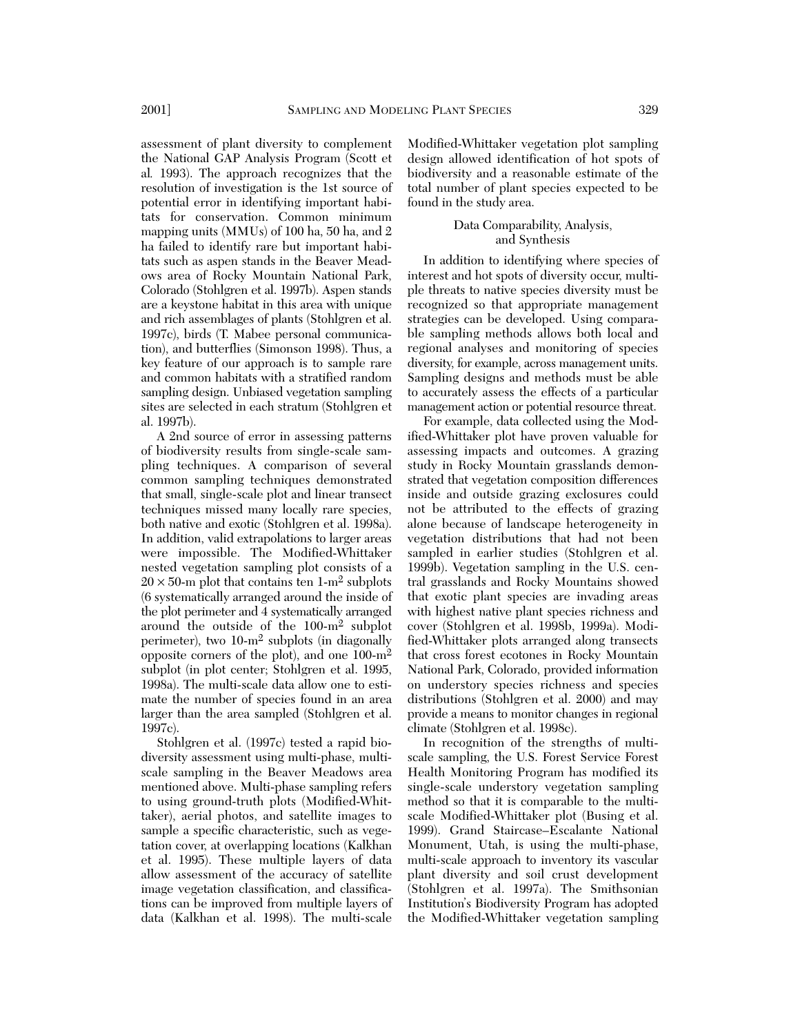assessment of plant diversity to complement the National GAP Analysis Program (Scott et al*.* 1993). The approach recognizes that the resolution of investigation is the 1st source of potential error in identifying important habitats for conservation. Common minimum mapping units (MMUs) of 100 ha, 50 ha, and 2 ha failed to identify rare but important habitats such as aspen stands in the Beaver Meadows area of Rocky Mountain National Park, Colorado (Stohlgren et al. 1997b). Aspen stands are a keystone habitat in this area with unique and rich assemblages of plants (Stohlgren et al. 1997c), birds (T. Mabee personal communication), and butterflies (Simonson 1998). Thus, a key feature of our approach is to sample rare and common habitats with a stratified random sampling design. Unbiased vegetation sampling sites are selected in each stratum (Stohlgren et al. 1997b).

A 2nd source of error in assessing patterns of biodiversity results from single-scale sampling techniques. A comparison of several common sampling techniques demonstrated that small, single-scale plot and linear transect techniques missed many locally rare species, both native and exotic (Stohlgren et al. 1998a). In addition, valid extrapolations to larger areas were impossible. The Modified-Whittaker nested vegetation sampling plot consists of a  $20 \times 50$ -m plot that contains ten 1-m<sup>2</sup> subplots (6 systematically arranged around the inside of the plot perimeter and 4 systematically arranged around the outside of the 100-m2 subplot perimeter), two 10-m2 subplots (in diagonally opposite corners of the plot), and one 100-m2 subplot (in plot center; Stohlgren et al. 1995, 1998a). The multi-scale data allow one to estimate the number of species found in an area larger than the area sampled (Stohlgren et al. 1997c).

Stohlgren et al. (1997c) tested a rapid biodiversity assessment using multi-phase, multiscale sampling in the Beaver Meadows area mentioned above. Multi-phase sampling refers to using ground-truth plots (Modified-Whittaker), aerial photos, and satellite images to sample a specific characteristic, such as vegetation cover, at overlapping locations (Kalkhan et al. 1995). These multiple layers of data allow assessment of the accuracy of satellite image vegetation classification, and classifications can be improved from multiple layers of data (Kalkhan et al. 1998). The multi-scale Modified-Whittaker vegetation plot sampling design allowed identification of hot spots of biodiversity and a reasonable estimate of the total number of plant species expected to be found in the study area.

# Data Comparability, Analysis, and Synthesis

In addition to identifying where species of interest and hot spots of diversity occur, multiple threats to native species diversity must be recognized so that appropriate management strategies can be developed. Using comparable sampling methods allows both local and regional analyses and monitoring of species diversity, for example, across management units. Sampling designs and methods must be able to accurately assess the effects of a particular management action or potential resource threat.

For example, data collected using the Modified-Whittaker plot have proven valuable for assessing impacts and outcomes. A grazing study in Rocky Mountain grasslands demonstrated that vegetation composition differences inside and outside grazing exclosures could not be attributed to the effects of grazing alone because of landscape heterogeneity in vegetation distributions that had not been sampled in earlier studies (Stohlgren et al. 1999b). Vegetation sampling in the U.S. central grasslands and Rocky Mountains showed that exotic plant species are invading areas with highest native plant species richness and cover (Stohlgren et al. 1998b, 1999a). Modified-Whittaker plots arranged along transects that cross forest ecotones in Rocky Mountain National Park, Colorado, provided information on understory species richness and species distributions (Stohlgren et al. 2000) and may provide a means to monitor changes in regional climate (Stohlgren et al. 1998c).

In recognition of the strengths of multiscale sampling, the U.S. Forest Service Forest Health Monitoring Program has modified its single-scale understory vegetation sampling method so that it is comparable to the multiscale Modified-Whittaker plot (Busing et al. 1999). Grand Staircase–Escalante National Monument, Utah, is using the multi-phase, multi-scale approach to inventory its vascular plant diversity and soil crust development (Stohlgren et al. 1997a). The Smithsonian Institution's Biodiversity Program has adopted the Modified-Whittaker vegetation sampling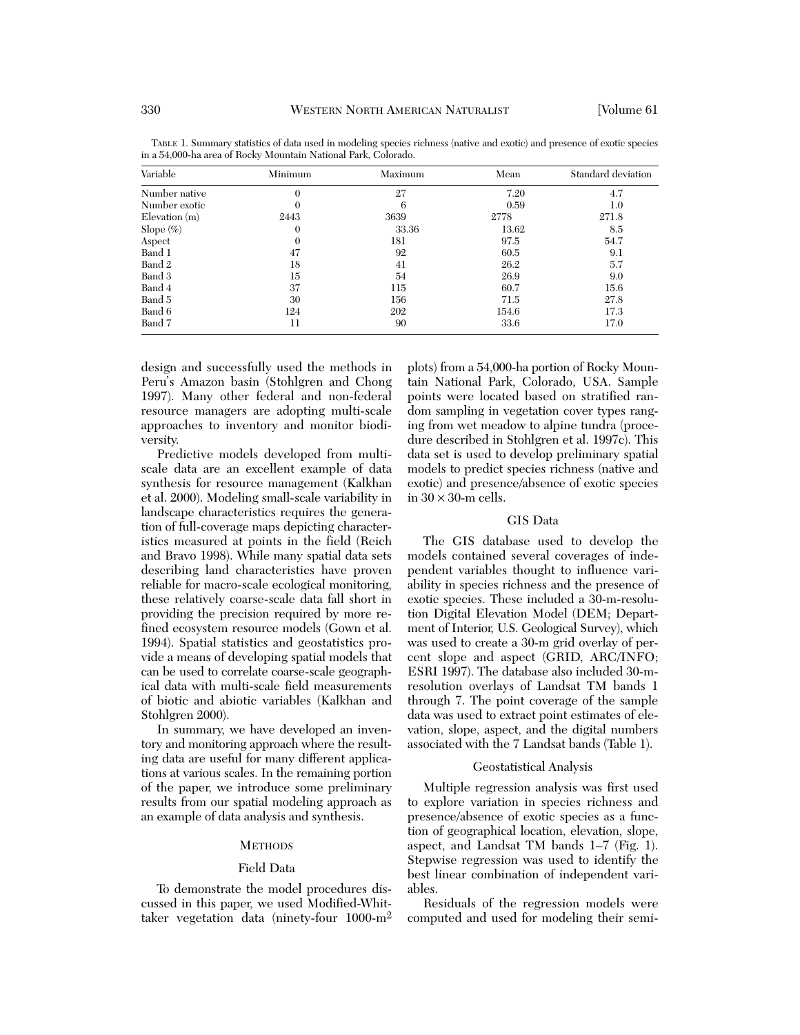| Variable           | Minimum          | Maximum | Mean  | Standard deviation |
|--------------------|------------------|---------|-------|--------------------|
| Number native      | $\boldsymbol{0}$ | 27      | 7.20  | 4.7                |
| Number exotic      | $\Omega$         | 6       | 0.59  | 1.0                |
| $E$ levation $(m)$ | 2443             | 3639    | 2778  | 271.8              |
| Slope $(\%)$       | $\boldsymbol{0}$ | 33.36   | 13.62 | 8.5                |
| Aspect             | 0                | 181     | 97.5  | 54.7               |
| Band 1             | 47               | 92      | 60.5  | 9.1                |
| Band 2             | 18               | 41      | 26.2  | 5.7                |
| Band 3             | 15               | 54      | 26.9  | 9.0                |
| Band 4             | 37               | 115     | 60.7  | 15.6               |
| Band 5             | 30               | 156     | 71.5  | 27.8               |
| Band 6             | 124              | 202     | 154.6 | 17.3               |
| Band 7             | 11               | 90      | 33.6  | 17.0               |

TABLE 1. Summary statistics of data used in modeling species richness (native and exotic) and presence of exotic species in a 54,000-ha area of Rocky Mountain National Park, Colorado.

design and successfully used the methods in Peru's Amazon basin (Stohlgren and Chong 1997). Many other federal and non-federal resource managers are adopting multi-scale approaches to inventory and monitor biodiversity.

Predictive models developed from multiscale data are an excellent example of data synthesis for resource management (Kalkhan et al. 2000). Modeling small-scale variability in landscape characteristics requires the generation of full-coverage maps depicting characteristics measured at points in the field (Reich and Bravo 1998). While many spatial data sets describing land characteristics have proven reliable for macro-scale ecological monitoring, these relatively coarse-scale data fall short in providing the precision required by more refined ecosystem resource models (Gown et al. 1994). Spatial statistics and geostatistics provide a means of developing spatial models that can be used to correlate coarse-scale geographical data with multi-scale field measurements of biotic and abiotic variables (Kalkhan and Stohlgren 2000).

In summary, we have developed an inventory and monitoring approach where the resulting data are useful for many different applications at various scales. In the remaining portion of the paper, we introduce some preliminary results from our spatial modeling approach as an example of data analysis and synthesis.

#### **METHODS**

#### Field Data

To demonstrate the model procedures discussed in this paper, we used Modified-Whittaker vegetation data (ninety-four 1000-m2

plots) from a 54,000-ha portion of Rocky Mountain National Park, Colorado, USA. Sample points were located based on stratified random sampling in vegetation cover types ranging from wet meadow to alpine tundra (procedure described in Stohlgren et al. 1997c). This data set is used to develop preliminary spatial models to predict species richness (native and exotic) and presence/absence of exotic species in  $30 \times 30$ -m cells.

#### GIS Data

The GIS database used to develop the models contained several coverages of independent variables thought to influence variability in species richness and the presence of exotic species. These included a 30-m-resolution Digital Elevation Model (DEM; Department of Interior, U.S. Geological Survey), which was used to create a 30-m grid overlay of percent slope and aspect (GRID, ARC/INFO; ESRI 1997). The database also included 30-mresolution overlays of Landsat TM bands 1 through 7. The point coverage of the sample data was used to extract point estimates of elevation, slope, aspect, and the digital numbers associated with the 7 Landsat bands (Table 1).

## Geostatistical Analysis

Multiple regression analysis was first used to explore variation in species richness and presence/absence of exotic species as a function of geographical location, elevation, slope, aspect, and Landsat TM bands 1–7 (Fig. 1). Stepwise regression was used to identify the best linear combination of independent variables.

Residuals of the regression models were computed and used for modeling their semi-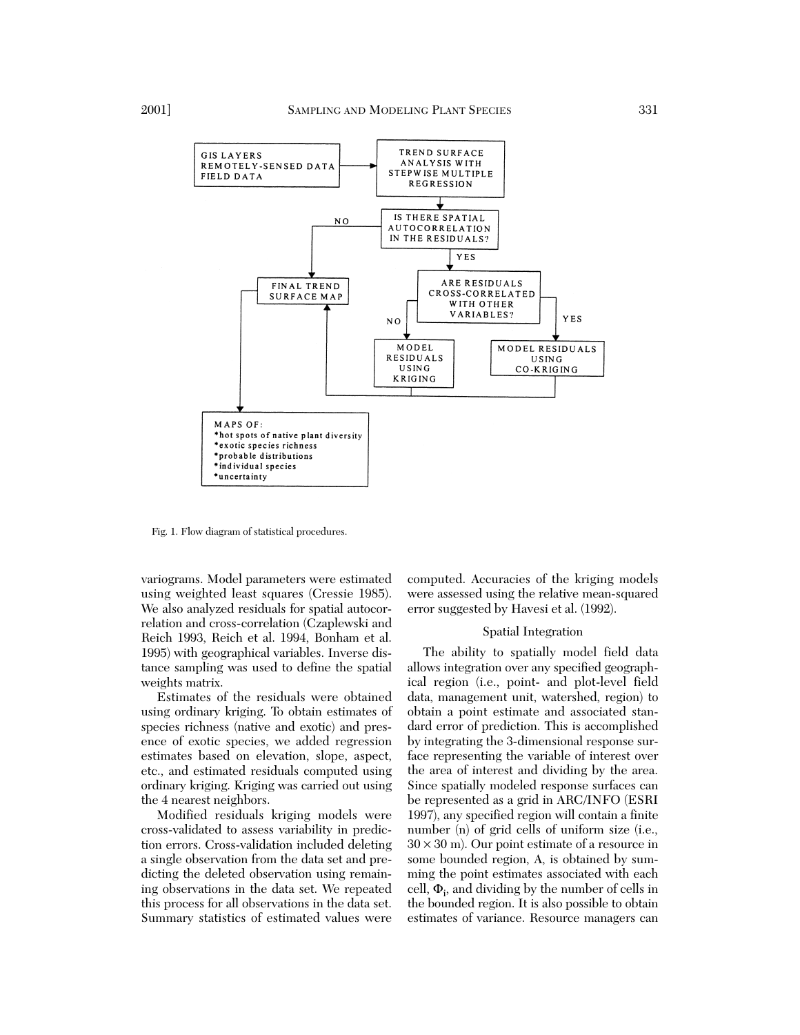

Fig. 1. Flow diagram of statistical procedures.

variograms. Model parameters were estimated using weighted least squares (Cressie 1985). We also analyzed residuals for spatial autocorrelation and cross-correlation (Czaplewski and Reich 1993, Reich et al. 1994, Bonham et al. 1995) with geographical variables. Inverse distance sampling was used to define the spatial weights matrix.

Estimates of the residuals were obtained using ordinary kriging. To obtain estimates of species richness (native and exotic) and presence of exotic species, we added regression estimates based on elevation, slope, aspect, etc., and estimated residuals computed using ordinary kriging. Kriging was carried out using the 4 nearest neighbors.

Modified residuals kriging models were cross-validated to assess variability in prediction errors. Cross-validation included deleting a single observation from the data set and predicting the deleted observation using remaining observations in the data set. We repeated this process for all observations in the data set. Summary statistics of estimated values were computed. Accuracies of the kriging models were assessed using the relative mean-squared error suggested by Havesi et al. (1992).

#### Spatial Integration

The ability to spatially model field data allows integration over any specified geographical region (i.e., point- and plot-level field data, management unit, watershed, region) to obtain a point estimate and associated standard error of prediction. This is accomplished by integrating the 3-dimensional response surface representing the variable of interest over the area of interest and dividing by the area. Since spatially modeled response surfaces can be represented as a grid in ARC/INFO (ESRI 1997), any specified region will contain a finite number (n) of grid cells of uniform size (i.e.,  $30 \times 30$  m). Our point estimate of a resource in some bounded region, A, is obtained by summing the point estimates associated with each cell,  $\Phi_i$ , and dividing by the number of cells in the bounded region. It is also possible to obtain estimates of variance. Resource managers can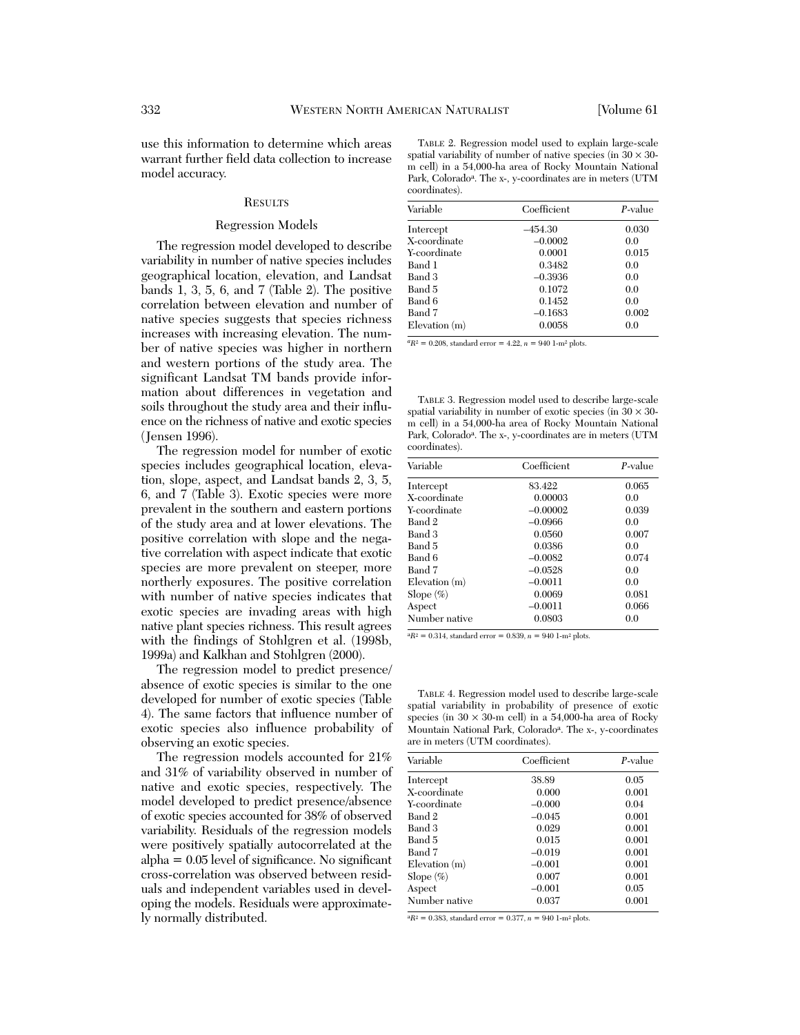use this information to determine which areas warrant further field data collection to increase model accuracy.

#### **RESULTS**

#### Regression Models

The regression model developed to describe variability in number of native species includes geographical location, elevation, and Landsat bands 1, 3, 5, 6, and 7 (Table 2). The positive correlation between elevation and number of native species suggests that species richness increases with increasing elevation. The number of native species was higher in northern and western portions of the study area. The significant Landsat TM bands provide information about differences in vegetation and soils throughout the study area and their influence on the richness of native and exotic species (Jensen 1996).

The regression model for number of exotic species includes geographical location, elevation, slope, aspect, and Landsat bands 2, 3, 5, 6, and 7 (Table 3). Exotic species were more prevalent in the southern and eastern portions of the study area and at lower elevations. The positive correlation with slope and the negative correlation with aspect indicate that exotic species are more prevalent on steeper, more northerly exposures. The positive correlation with number of native species indicates that exotic species are invading areas with high native plant species richness. This result agrees with the findings of Stohlgren et al. (1998b, 1999a) and Kalkhan and Stohlgren (2000).

The regression model to predict presence/ absence of exotic species is similar to the one developed for number of exotic species (Table 4). The same factors that influence number of exotic species also influence probability of observing an exotic species.

The regression models accounted for 21% and 31% of variability observed in number of native and exotic species, respectively. The model developed to predict presence/absence of exotic species accounted for 38% of observed variability. Residuals of the regression models were positively spatially autocorrelated at the  $alpha = 0.05$  level of significance. No significant cross-correlation was observed between residuals and independent variables used in developing the models. Residuals were approximately normally distributed.

TABLE 2. Regression model used to explain large-scale spatial variability of number of native species (in  $30 \times 30$ m cell) in a 54,000-ha area of Rocky Mountain National Park, Coloradoa. The x-, y-coordinates are in meters (UTM coordinates).

| Variable           | Coefficient | $P$ -value |
|--------------------|-------------|------------|
| Intercept          | –454.30     | 0.030      |
| X-coordinate       | $-0.0002$   | 0.0        |
| Y-coordinate       | 0.0001      | 0.015      |
| Band 1             | 0.3482      | 0.0        |
| Band 3             | $-0.3936$   | 0.0        |
| Band 5             | 0.1072      | 0.0        |
| Band 6             | 0.1452      | 0.0        |
| Band 7             | $-0.1683$   | 0.002      |
| $E$ levation $(m)$ | 0.0058      | 0.0        |

 ${}^{a}R^{2} = 0.208$ , standard error = 4.22,  $n = 940$  1-m<sup>2</sup> plots.

TABLE 3. Regression model used to describe large-scale spatial variability in number of exotic species (in  $30 \times 30$ m cell) in a 54,000-ha area of Rocky Mountain National Park, Colorado<sup>a</sup>. The x-, y-coordinates are in meters (UTM coordinates).

| Variable           | Coefficient | $P$ -value |
|--------------------|-------------|------------|
| Intercept          | 83.422      | 0.065      |
| X-coordinate       | 0.00003     | 0.0        |
| Y-coordinate       | $-0.00002$  | 0.039      |
| Band 2             | $-0.0966$   | 0.0        |
| Band 3             | 0.0560      | 0.007      |
| Band 5             | 0.0386      | 0.0        |
| Band 6             | $-0.0082$   | 0.074      |
| Band 7             | $-0.0528$   | 0.0        |
| $E$ levation $(m)$ | $-0.0011$   | 0.0        |
| Slope $(\%)$       | 0.0069      | 0.081      |
| Aspect             | $-0.0011$   | 0.066      |
| Number native      | 0.0803      | 0.0        |

 $aR^2 = 0.314$ , standard error = 0.839,  $n = 940$  1-m<sup>2</sup> plots.

TABLE 4. Regression model used to describe large-scale spatial variability in probability of presence of exotic species (in  $30 \times 30$ -m cell) in a 54,000-ha area of Rocky Mountain National Park, Coloradoa. The x-, y-coordinates are in meters (UTM coordinates).

| Variable           | Coefficient | $P$ -value |
|--------------------|-------------|------------|
| Intercept          | 38.89       | 0.05       |
| X-coordinate       | 0.000       | 0.001      |
| Y-coordinate       | $-0.000$    | 0.04       |
| Band 2             | $-0.045$    | 0.001      |
| Band 3             | 0.029       | 0.001      |
| Band 5             | 0.015       | 0.001      |
| Band 7             | $-0.019$    | 0.001      |
| $E$ levation $(m)$ | $-0.001$    | 0.001      |
| Slope $(\%)$       | 0.007       | 0.001      |
| Aspect             | $-0.001$    | 0.05       |
| Number native      | 0.037       | 0.001      |

 ${}^{a}R^{2} = 0.383$ , standard error =  $0.377$ ,  $n = 940$  1-m<sup>2</sup> plots.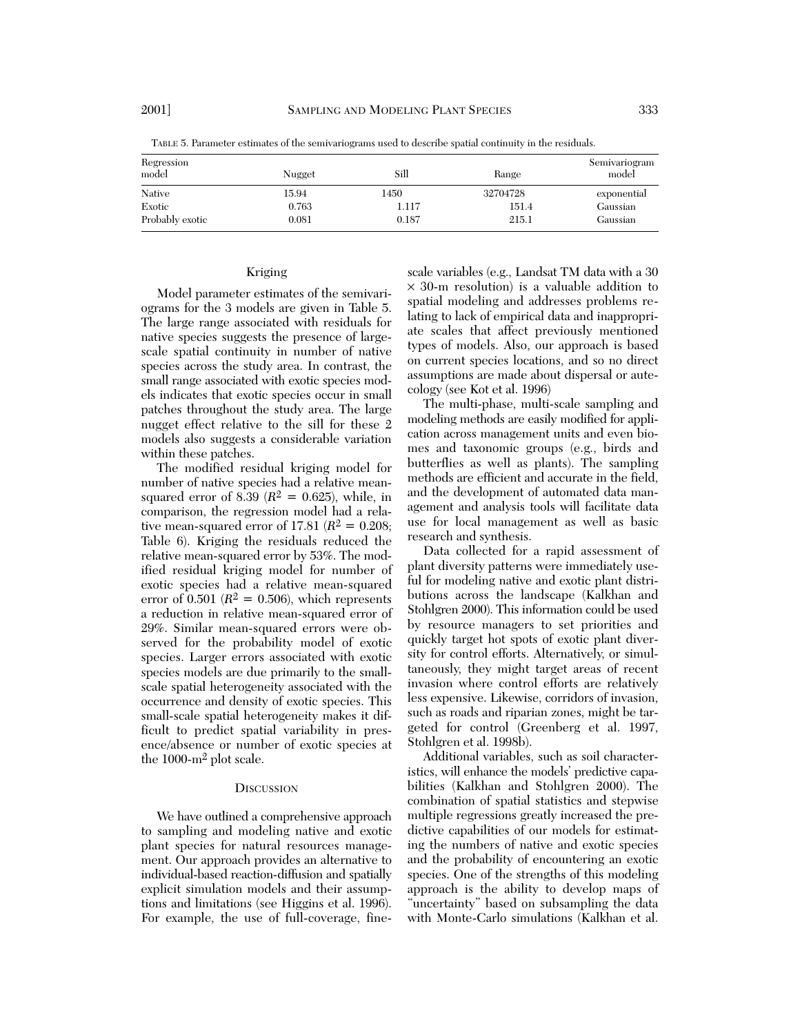| Regression<br>model | Nugget | Sill  | Range    | Semivariogram<br>model |
|---------------------|--------|-------|----------|------------------------|
| Native              | 15.94  | 1450  | 32704728 | exponential            |
| Exotic              | 0.763  | 1.117 | 151.4    | Gaussian               |
| Probably exotic     | 0.081  | 0.187 | 215.1    | Gaussian               |

TABLE 5. Parameter estimates of the semivariograms used to describe spatial continuity in the residuals.

#### Kriging

Model parameter estimates of the semivariograms for the 3 models are given in Table 5. The large range associated with residuals for native species suggests the presence of largescale spatial continuity in number of native species across the study area. In contrast, the small range associated with exotic species models indicates that exotic species occur in small patches throughout the study area. The large nugget effect relative to the sill for these 2 models also suggests a considerable variation within these patches.

The modified residual kriging model for number of native species had a relative meansquared error of 8.39 ( $R^2 = 0.625$ ), while, in comparison, the regression model had a relative mean-squared error of 17.81 ( $R^2 = 0.208$ ; Table 6). Kriging the residuals reduced the relative mean-squared error by 53%. The modified residual kriging model for number of exotic species had a relative mean-squared error of  $0.501$  ( $R^2 = 0.506$ ), which represents a reduction in relative mean-squared error of 29%. Similar mean-squared errors were observed for the probability model of exotic species. Larger errors associated with exotic species models are due primarily to the smallscale spatial heterogeneity associated with the occurrence and density of exotic species. This small-scale spatial heterogeneity makes it difficult to predict spatial variability in presence/absence or number of exotic species at the 1000-m2 plot scale.

#### **DISCUSSION**

We have outlined a comprehensive approach to sampling and modeling native and exotic plant species for natural resources management. Our approach provides an alternative to individual-based reaction-diffusion and spatially explicit simulation models and their assumptions and limitations (see Higgins et al. 1996). For example, the use of full-coverage, fine-

scale variables (e.g., Landsat TM data with a 30 × 30-m resolution) is a valuable addition to spatial modeling and addresses problems relating to lack of empirical data and inappropriate scales that affect previously mentioned types of models. Also, our approach is based on current species locations, and so no direct assumptions are made about dispersal or autecology (see Kot et al. 1996)

The multi-phase, multi-scale sampling and modeling methods are easily modified for application across management units and even biomes and taxonomic groups (e.g., birds and butterflies as well as plants). The sampling methods are efficient and accurate in the field, and the development of automated data management and analysis tools will facilitate data use for local management as well as basic research and synthesis.

Data collected for a rapid assessment of plant diversity patterns were immediately useful for modeling native and exotic plant distributions across the landscape (Kalkhan and Stohlgren 2000). This information could be used by resource managers to set priorities and quickly target hot spots of exotic plant diversity for control efforts. Alternatively, or simultaneously, they might target areas of recent invasion where control efforts are relatively less expensive. Likewise, corridors of invasion, such as roads and riparian zones, might be targeted for control (Greenberg et al. 1997, Stohlgren et al. 1998b).

Additional variables, such as soil characteristics, will enhance the models' predictive capabilities (Kalkhan and Stohlgren 2000). The combination of spatial statistics and stepwise multiple regressions greatly increased the predictive capabilities of our models for estimating the numbers of native and exotic species and the probability of encountering an exotic species. One of the strengths of this modeling approach is the ability to develop maps of "uncertainty" based on subsampling the data with Monte-Carlo simulations (Kalkhan et al.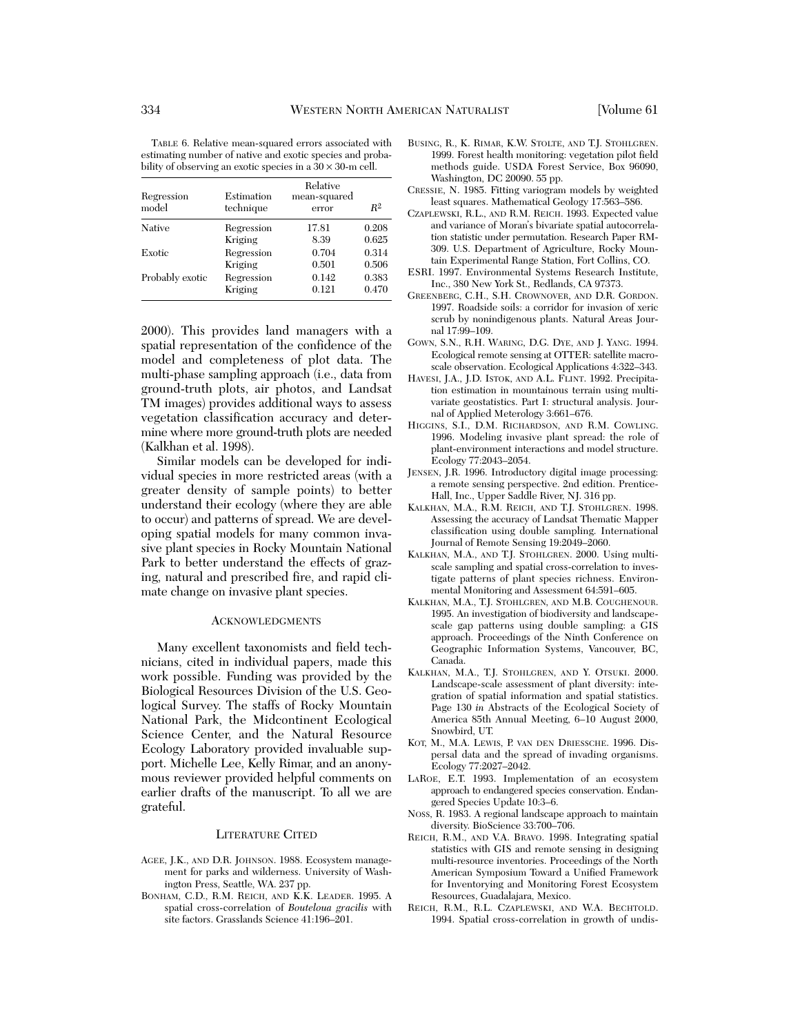TABLE 6. Relative mean-squared errors associated with estimating number of native and exotic species and probability of observing an exotic species in a  $30 \times 30$ -m cell.

| Regression<br>model | Estimation<br>technique | Relative<br>mean-squared<br>error | R <sup>2</sup> |
|---------------------|-------------------------|-----------------------------------|----------------|
| Native              | Regression              | 17.81                             | 0.208          |
|                     | Kriging                 | 8.39                              | 0.625          |
| Exotic              | Regression              | 0.704                             | 0.314          |
|                     | Kriging                 | 0.501                             | 0.506          |
| Probably exotic     | Regression              | 0.142                             | 0.383          |
|                     | Kriging                 | 0.121                             | 0.470          |

2000). This provides land managers with a spatial representation of the confidence of the model and completeness of plot data. The multi-phase sampling approach (i.e., data from ground-truth plots, air photos, and Landsat TM images) provides additional ways to assess vegetation classification accuracy and determine where more ground-truth plots are needed (Kalkhan et al. 1998).

Similar models can be developed for individual species in more restricted areas (with a greater density of sample points) to better understand their ecology (where they are able to occur) and patterns of spread. We are developing spatial models for many common invasive plant species in Rocky Mountain National Park to better understand the effects of grazing, natural and prescribed fire, and rapid climate change on invasive plant species.

#### ACKNOWLEDGMENTS

Many excellent taxonomists and field technicians, cited in individual papers, made this work possible. Funding was provided by the Biological Resources Division of the U.S. Geological Survey. The staffs of Rocky Mountain National Park, the Midcontinent Ecological Science Center, and the Natural Resource Ecology Laboratory provided invaluable support. Michelle Lee, Kelly Rimar, and an anonymous reviewer provided helpful comments on earlier drafts of the manuscript. To all we are grateful.

## LITERATURE CITED

- AGEE, J.K., AND D.R. JOHNSON. 1988. Ecosystem management for parks and wilderness. University of Washington Press, Seattle, WA. 237 pp.
- BONHAM, C.D., R.M. REICH, AND K.K. LEADER. 1995. A spatial cross-correlation of *Bouteloua gracilis* with site factors. Grasslands Science 41:196–201.
- BUSING, R., K. RIMAR, K.W. STOLTE, AND T.J. STOHLGREN. 1999. Forest health monitoring: vegetation pilot field methods guide. USDA Forest Service, Box 96090, Washington, DC 20090. 55 pp.
- CRESSIE, N. 1985. Fitting variogram models by weighted least squares. Mathematical Geology 17:563–586.
- CZAPLEWSKI, R.L., AND R.M. REICH. 1993. Expected value and variance of Moran's bivariate spatial autocorrelation statistic under permutation. Research Paper RM-309. U.S. Department of Agriculture, Rocky Mountain Experimental Range Station, Fort Collins, CO.
- ESRI. 1997. Environmental Systems Research Institute, Inc., 380 New York St., Redlands, CA 97373.
- GREENBERG, C.H., S.H. CROWNOVER, AND D.R. GORDON. 1997. Roadside soils: a corridor for invasion of xeric scrub by nonindigenous plants. Natural Areas Journal 17:99–109.
- GOWN, S.N., R.H. WARING, D.G. DYE, AND J. YANG. 1994. Ecological remote sensing at OTTER: satellite macroscale observation. Ecological Applications 4:322–343.
- HAVESI, J.A., J.D. ISTOK, AND A.L. FLINT. 1992. Precipitation estimation in mountainous terrain using multivariate geostatistics. Part I: structural analysis. Journal of Applied Meterology 3:661–676.
- HIGGINS, S.I., D.M. RICHARDSON, AND R.M. COWLING. 1996. Modeling invasive plant spread: the role of plant-environment interactions and model structure. Ecology 77:2043–2054.
- JENSEN, J.R. 1996. Introductory digital image processing: a remote sensing perspective. 2nd edition. Prentice-Hall, Inc., Upper Saddle River, NJ. 316 pp.
- KALKHAN, M.A., R.M. REICH, AND T.J. STOHLGREN. 1998. Assessing the accuracy of Landsat Thematic Mapper classification using double sampling. International Journal of Remote Sensing 19:2049–2060.
- KALKHAN, M.A., AND T.J. STOHLGREN. 2000. Using multiscale sampling and spatial cross-correlation to investigate patterns of plant species richness. Environmental Monitoring and Assessment 64:591–605.
- KALKHAN, M.A., T.J. STOHLGREN, AND M.B. COUGHENOUR. 1995. An investigation of biodiversity and landscapescale gap patterns using double sampling: a GIS approach. Proceedings of the Ninth Conference on Geographic Information Systems, Vancouver, BC, Canada.
- KALKHAN, M.A., T.J. STOHLGREN, AND Y. OTSUKI. 2000. Landscape-scale assessment of plant diversity: integration of spatial information and spatial statistics. Page 130 *in* Abstracts of the Ecological Society of America 85th Annual Meeting, 6–10 August 2000, Snowbird, UT.
- KOT, M., M.A. LEWIS, P. VAN DEN DRIESSCHE. 1996. Dispersal data and the spread of invading organisms. Ecology 77:2027–2042.
- LAROE, E.T. 1993. Implementation of an ecosystem approach to endangered species conservation. Endangered Species Update 10:3–6.
- NOSS, R. 1983. A regional landscape approach to maintain diversity. BioScience 33:700–706.
- REICH, R.M., AND V.A. BRAVO. 1998. Integrating spatial statistics with GIS and remote sensing in designing multi-resource inventories. Proceedings of the North American Symposium Toward a Unified Framework for Inventorying and Monitoring Forest Ecosystem Resources, Guadalajara, Mexico.
- REICH, R.M., R.L. CZAPLEWSKI, AND W.A. BECHTOLD. 1994. Spatial cross-correlation in growth of undis-